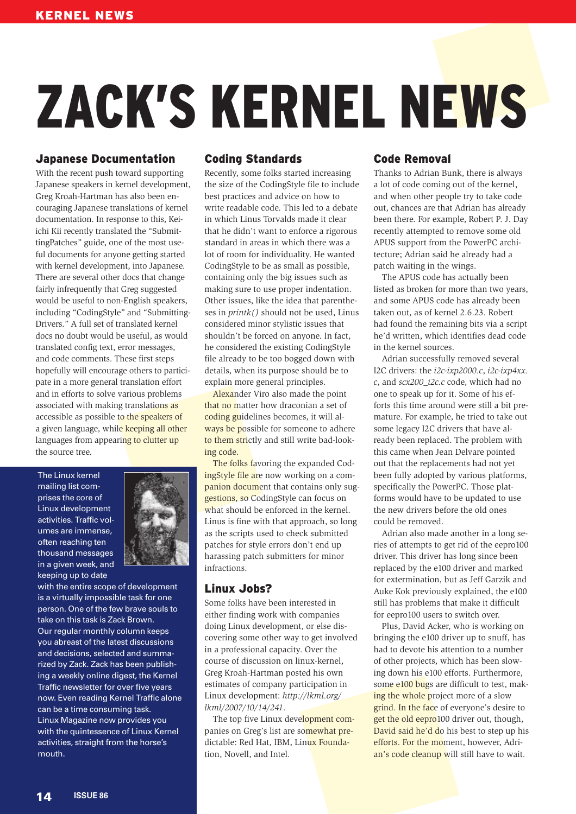# ZACK'S KERNEL NEWS

# Japanese Documentation

With the recent push toward supporting Japanese speakers in kernel development, Greg Kroah-Hartman has also been encouraging Japanese translations of kernel documentation. In response to this, Keiichi Kii recently translated the "SubmittingPatches" guide, one of the most useful documents for anyone getting started with kernel development, into Japanese. There are several other docs that change fairly infrequently that Greg suggested would be useful to non-English speakers, including "CodingStyle" and "Submitting-Drivers." A full set of translated kernel docs no doubt would be useful, as would translated config text, error messages, and code comments. These first steps hopefully will encourage others to participate in a more general translation effort and in efforts to solve various problems associated with making translations as accessible as possible to the speakers of a given language, while keeping all other languages from appearing to clutter up the source tree.

The Linux kernel mailing list comprises the core of Linux development activities. Traffic volumes are immense, often reaching ten thousand messages in a given week, and keeping up to date



with the entire scope of development is a virtually impossible task for one person. One of the few brave souls to take on this task is Zack Brown. Our regular monthly column keeps you abreast of the latest discussions and decisions, selected and summarized by Zack. Zack has been publishing a weekly online digest, the Kernel Traffic newsletter for over five years now. Even reading Kernel Traffic alone can be a time consuming task. Linux Magazine now provides you with the quintessence of Linux Kernel activities, straight from the horse's mouth.

# Coding Standards

Recently, some folks started increasing the size of the CodingStyle file to include best practices and advice on how to write readable code. This led to a debate in which Linus Torvalds made it clear that he didn't want to enforce a rigorous standard in areas in which there was a lot of room for individuality. He wanted CodingStyle to be as small as possible, containing only the big issues such as making sure to use proper indentation. Other issues, like the idea that parentheses in *printk()* should not be used, Linus considered minor stylistic issues that shouldn't be forced on anyone. In fact, he considered the existing CodingStyle file already to be too bogged down with details, when its purpose should be to explain more general principles.

Alexander Viro also made the point that no matter how draconian a set of coding guidelines becomes, it will always be possible for someone to adhere to them strictly and still write bad-looking code.

The folks favoring the expanded CodingStyle file are now working on a companion document that contains only suggestions, so CodingStyle can focus on what should be enforced in the kernel. Linus is fine with that approach, so long as the scripts used to check submitted patches for style errors don't end up harassing patch submitters for minor infractions.

## Linux Jobs?

Some folks have been interested in either finding work with companies doing Linux development, or else discovering some other way to get involved in a professional capacity. Over the course of discussion on linux-kernel, Greg Kroah-Hartman posted his own estimates of company participation in Linux development: *http:// lkml. org/ lkml/ 2007/ 10/ 14/ 241*.

The top five Linux development companies on Greg's list are somewhat predictable: Red Hat, IBM, Linux Foundation, Novell, and Intel.

# Code Removal

Thanks to Adrian Bunk, there is always a lot of code coming out of the kernel, and when other people try to take code out, chances are that Adrian has already been there. For example, Robert P. J. Day recently attempted to remove some old APUS support from the PowerPC architecture; Adrian said he already had a patch waiting in the wings.

The APUS code has actually been listed as broken for more than two years, and some APUS code has already been taken out, as of kernel 2.6.23. Robert had found the remaining bits via a script he'd written, which identifies dead code in the kernel sources.

Adrian successfully removed several I2C drivers: the *i2c-ixp2000.c*, *i2c-ixp4xx. c*, and *scx200\_i2c.c* code, which had no one to speak up for it. Some of his efforts this time around were still a bit premature. For example, he tried to take out some legacy I2C drivers that have already been replaced. The problem with this came when Jean Delvare pointed out that the replacements had not yet been fully adopted by various platforms, specifically the PowerPC. Those platforms would have to be updated to use the new drivers before the old ones could be removed.

Adrian also made another in a long series of attempts to get rid of the eepro100 driver. This driver has long since been replaced by the e100 driver and marked for extermination, but as Jeff Garzik and Auke Kok previously explained, the e100 still has problems that make it difficult for eepro100 users to switch over.

Plus, David Acker, who is working on bringing the e100 driver up to snuff, has had to devote his attention to a number of other projects, which has been slowing down his e100 efforts. Furthermore, some e100 bugs are difficult to test, making the whole project more of a slow grind. In the face of everyone's desire to get the old eepro100 driver out, though, David said he'd do his best to step up his efforts. For the moment, however, Adrian's code cleanup will still have to wait.